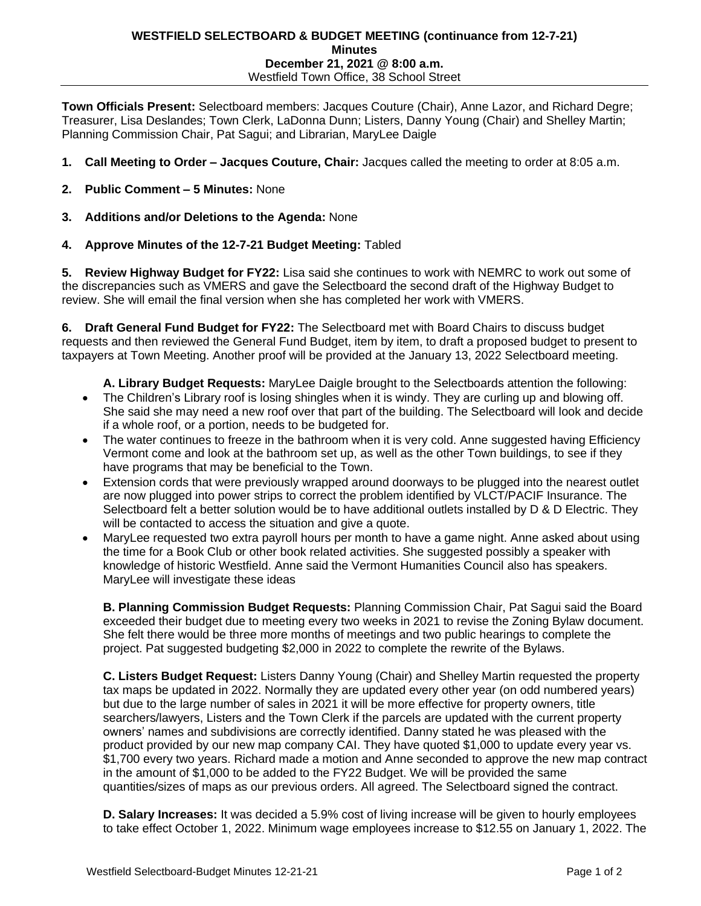## **WESTFIELD SELECTBOARD & BUDGET MEETING (continuance from 12-7-21) Minutes December 21, 2021 @ 8:00 a.m.** Westfield Town Office, 38 School Street

**Town Officials Present:** Selectboard members: Jacques Couture (Chair), Anne Lazor, and Richard Degre; Treasurer, Lisa Deslandes; Town Clerk, LaDonna Dunn; Listers, Danny Young (Chair) and Shelley Martin; Planning Commission Chair, Pat Sagui; and Librarian, MaryLee Daigle

- **1. Call Meeting to Order – Jacques Couture, Chair:** Jacques called the meeting to order at 8:05 a.m.
- **2. Public Comment – 5 Minutes:** None
- **3. Additions and/or Deletions to the Agenda:** None
- **4. Approve Minutes of the 12-7-21 Budget Meeting:** Tabled

**5. Review Highway Budget for FY22:** Lisa said she continues to work with NEMRC to work out some of the discrepancies such as VMERS and gave the Selectboard the second draft of the Highway Budget to review. She will email the final version when she has completed her work with VMERS.

**6. Draft General Fund Budget for FY22:** The Selectboard met with Board Chairs to discuss budget requests and then reviewed the General Fund Budget, item by item, to draft a proposed budget to present to taxpayers at Town Meeting. Another proof will be provided at the January 13, 2022 Selectboard meeting.

**A. Library Budget Requests:** MaryLee Daigle brought to the Selectboards attention the following:

- The Children's Library roof is losing shingles when it is windy. They are curling up and blowing off. She said she may need a new roof over that part of the building. The Selectboard will look and decide if a whole roof, or a portion, needs to be budgeted for.
- The water continues to freeze in the bathroom when it is very cold. Anne suggested having Efficiency Vermont come and look at the bathroom set up, as well as the other Town buildings, to see if they have programs that may be beneficial to the Town.
- Extension cords that were previously wrapped around doorways to be plugged into the nearest outlet are now plugged into power strips to correct the problem identified by VLCT/PACIF Insurance. The Selectboard felt a better solution would be to have additional outlets installed by D & D Electric. They will be contacted to access the situation and give a quote.
- MaryLee requested two extra payroll hours per month to have a game night. Anne asked about using the time for a Book Club or other book related activities. She suggested possibly a speaker with knowledge of historic Westfield. Anne said the Vermont Humanities Council also has speakers. MaryLee will investigate these ideas

**B. Planning Commission Budget Requests:** Planning Commission Chair, Pat Sagui said the Board exceeded their budget due to meeting every two weeks in 2021 to revise the Zoning Bylaw document. She felt there would be three more months of meetings and two public hearings to complete the project. Pat suggested budgeting \$2,000 in 2022 to complete the rewrite of the Bylaws.

**C. Listers Budget Request:** Listers Danny Young (Chair) and Shelley Martin requested the property tax maps be updated in 2022. Normally they are updated every other year (on odd numbered years) but due to the large number of sales in 2021 it will be more effective for property owners, title searchers/lawyers, Listers and the Town Clerk if the parcels are updated with the current property owners' names and subdivisions are correctly identified. Danny stated he was pleased with the product provided by our new map company CAI. They have quoted \$1,000 to update every year vs. \$1,700 every two years. Richard made a motion and Anne seconded to approve the new map contract in the amount of \$1,000 to be added to the FY22 Budget. We will be provided the same quantities/sizes of maps as our previous orders. All agreed. The Selectboard signed the contract.

**D. Salary Increases:** It was decided a 5.9% cost of living increase will be given to hourly employees to take effect October 1, 2022. Minimum wage employees increase to \$12.55 on January 1, 2022. The